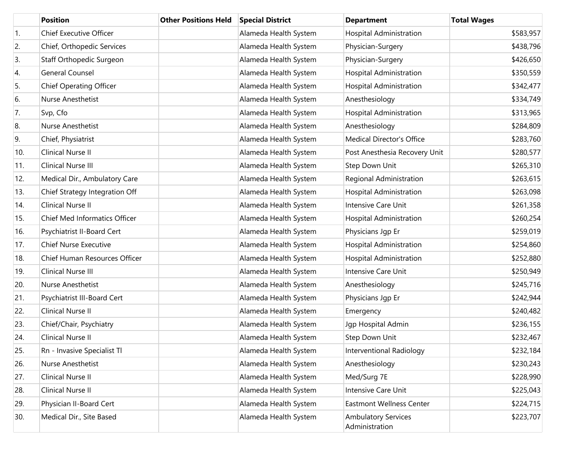|     | <b>Position</b>                | <b>Other Positions Held</b> | <b>Special District</b> | <b>Department</b>                            | <b>Total Wages</b> |
|-----|--------------------------------|-----------------------------|-------------------------|----------------------------------------------|--------------------|
| 1.  | <b>Chief Executive Officer</b> |                             | Alameda Health System   | Hospital Administration                      | \$583,957          |
| 2.  | Chief, Orthopedic Services     |                             | Alameda Health System   | Physician-Surgery                            | \$438,796          |
| 3.  | Staff Orthopedic Surgeon       |                             | Alameda Health System   | Physician-Surgery                            | \$426,650          |
| 4.  | <b>General Counsel</b>         |                             | Alameda Health System   | <b>Hospital Administration</b>               | \$350,559          |
| 5.  | <b>Chief Operating Officer</b> |                             | Alameda Health System   | Hospital Administration                      | \$342,477          |
| 6.  | Nurse Anesthetist              |                             | Alameda Health System   | Anesthesiology                               | \$334,749          |
| 7.  | Svp, Cfo                       |                             | Alameda Health System   | <b>Hospital Administration</b>               | \$313,965          |
| 8.  | Nurse Anesthetist              |                             | Alameda Health System   | Anesthesiology                               | \$284,809          |
| 9.  | Chief, Physiatrist             |                             | Alameda Health System   | <b>Medical Director's Office</b>             | \$283,760          |
| 10. | Clinical Nurse II              |                             | Alameda Health System   | Post Anesthesia Recovery Unit                | \$280,577          |
| 11. | Clinical Nurse III             |                             | Alameda Health System   | Step Down Unit                               | \$265,310          |
| 12. | Medical Dir., Ambulatory Care  |                             | Alameda Health System   | Regional Administration                      | \$263,615          |
| 13. | Chief Strategy Integration Off |                             | Alameda Health System   | Hospital Administration                      | \$263,098          |
| 14. | Clinical Nurse II              |                             | Alameda Health System   | Intensive Care Unit                          | \$261,358          |
| 15. | Chief Med Informatics Officer  |                             | Alameda Health System   | Hospital Administration                      | \$260,254          |
| 16. | Psychiatrist II-Board Cert     |                             | Alameda Health System   | Physicians Jgp Er                            | \$259,019          |
| 17. | <b>Chief Nurse Executive</b>   |                             | Alameda Health System   | <b>Hospital Administration</b>               | \$254,860          |
| 18. | Chief Human Resources Officer  |                             | Alameda Health System   | Hospital Administration                      | \$252,880          |
| 19. | Clinical Nurse III             |                             | Alameda Health System   | Intensive Care Unit                          | \$250,949          |
| 20. | Nurse Anesthetist              |                             | Alameda Health System   | Anesthesiology                               | \$245,716          |
| 21. | Psychiatrist III-Board Cert    |                             | Alameda Health System   | Physicians Jgp Er                            | \$242,944          |
| 22. | Clinical Nurse II              |                             | Alameda Health System   | Emergency                                    | \$240,482          |
| 23. | Chief/Chair, Psychiatry        |                             | Alameda Health System   | Jgp Hospital Admin                           | \$236,155          |
| 24. | Clinical Nurse II              |                             | Alameda Health System   | Step Down Unit                               | \$232,467          |
| 25. | Rn - Invasive Specialist Tl    |                             | Alameda Health System   | Interventional Radiology                     | \$232,184          |
| 26. | Nurse Anesthetist              |                             | Alameda Health System   | Anesthesiology                               | \$230,243          |
| 27. | Clinical Nurse II              |                             | Alameda Health System   | Med/Surg 7E                                  | \$228,990          |
| 28. | Clinical Nurse II              |                             | Alameda Health System   | Intensive Care Unit                          | \$225,043          |
| 29. | Physician II-Board Cert        |                             | Alameda Health System   | <b>Eastmont Wellness Center</b>              | \$224,715          |
| 30. | Medical Dir., Site Based       |                             | Alameda Health System   | <b>Ambulatory Services</b><br>Administration | \$223,707          |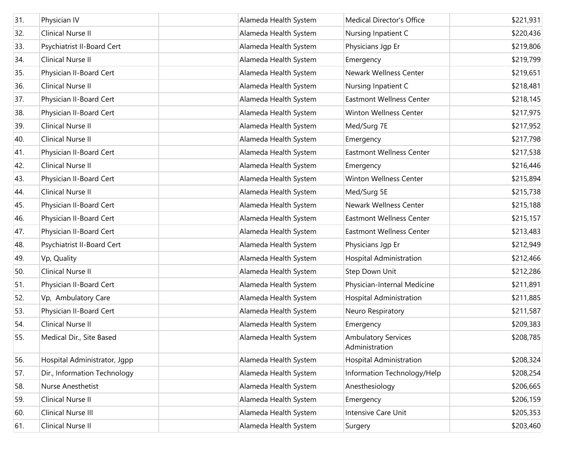| 31. | Physician IV                 | Alameda Health System | <b>Medical Director's Office</b>             | \$221,931 |
|-----|------------------------------|-----------------------|----------------------------------------------|-----------|
|     |                              |                       |                                              |           |
| 32. | Clinical Nurse II            | Alameda Health System | Nursing Inpatient C                          | \$220,436 |
| 33. | Psychiatrist II-Board Cert   | Alameda Health System | Physicians Jgp Er                            | \$219,806 |
| 34. | <b>Clinical Nurse II</b>     | Alameda Health System | Emergency                                    | \$219,799 |
| 35. | Physician II-Board Cert      | Alameda Health System | Newark Wellness Center                       | \$219,651 |
| 36. | Clinical Nurse II            | Alameda Health System | Nursing Inpatient C                          | \$218,481 |
| 37. | Physician II-Board Cert      | Alameda Health System | <b>Eastmont Wellness Center</b>              | \$218,145 |
| 38. | Physician II-Board Cert      | Alameda Health System | Winton Wellness Center                       | \$217,975 |
| 39. | Clinical Nurse II            | Alameda Health System | Med/Surg 7E                                  | \$217,952 |
| 40. | Clinical Nurse II            | Alameda Health System | Emergency                                    | \$217,798 |
| 41. | Physician II-Board Cert      | Alameda Health System | <b>Eastmont Wellness Center</b>              | \$217,538 |
| 42. | Clinical Nurse II            | Alameda Health System | Emergency                                    | \$216,446 |
| 43. | Physician II-Board Cert      | Alameda Health System | Winton Wellness Center                       | \$215,894 |
| 44. | Clinical Nurse II            | Alameda Health System | Med/Surg 5E                                  | \$215,738 |
| 45. | Physician II-Board Cert      | Alameda Health System | Newark Wellness Center                       | \$215,188 |
| 46. | Physician II-Board Cert      | Alameda Health System | <b>Eastmont Wellness Center</b>              | \$215,157 |
| 47. | Physician II-Board Cert      | Alameda Health System | <b>Eastmont Wellness Center</b>              | \$213,483 |
| 48. | Psychiatrist II-Board Cert   | Alameda Health System | Physicians Jgp Er                            | \$212,949 |
| 49. | Vp, Quality                  | Alameda Health System | Hospital Administration                      | \$212,466 |
| 50. | Clinical Nurse II            | Alameda Health System | Step Down Unit                               | \$212,286 |
| 51. | Physician II-Board Cert      | Alameda Health System | Physician-Internal Medicine                  | \$211,891 |
| 52. | Vp, Ambulatory Care          | Alameda Health System | Hospital Administration                      | \$211,885 |
| 53. | Physician II-Board Cert      | Alameda Health System | Neuro Respiratory                            | \$211,587 |
| 54. | Clinical Nurse II            | Alameda Health System | Emergency                                    | \$209,383 |
| 55. | Medical Dir., Site Based     | Alameda Health System | <b>Ambulatory Services</b><br>Administration | \$208,785 |
| 56. | Hospital Administrator, Jgpp | Alameda Health System | <b>Hospital Administration</b>               | \$208,324 |
| 57. | Dir., Information Technology | Alameda Health System | Information Technology/Help                  | \$208,254 |
| 58. | Nurse Anesthetist            | Alameda Health System | Anesthesiology                               | \$206,665 |
| 59. | Clinical Nurse II            | Alameda Health System | Emergency                                    | \$206,159 |
| 60. | Clinical Nurse III           | Alameda Health System | Intensive Care Unit                          | \$205,353 |
| 61. | Clinical Nurse II            | Alameda Health System | Surgery                                      | \$203,460 |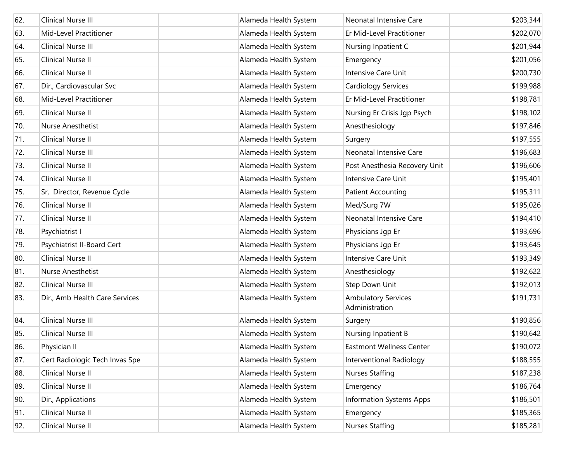| 62. | Clinical Nurse III             | Alameda Health System | Neonatal Intensive Care                      | \$203,344 |
|-----|--------------------------------|-----------------------|----------------------------------------------|-----------|
| 63. | Mid-Level Practitioner         | Alameda Health System | Er Mid-Level Practitioner                    | \$202,070 |
| 64. | Clinical Nurse III             | Alameda Health System | Nursing Inpatient C                          | \$201,944 |
| 65. | Clinical Nurse II              | Alameda Health System | Emergency                                    | \$201,056 |
| 66. | Clinical Nurse II              | Alameda Health System | Intensive Care Unit                          | \$200,730 |
| 67. | Dir., Cardiovascular Svc       | Alameda Health System | Cardiology Services                          | \$199,988 |
| 68. | Mid-Level Practitioner         | Alameda Health System | Er Mid-Level Practitioner                    | \$198,781 |
| 69. | Clinical Nurse II              | Alameda Health System | Nursing Er Crisis Jgp Psych                  | \$198,102 |
| 70. | Nurse Anesthetist              | Alameda Health System | Anesthesiology                               | \$197,846 |
| 71. | Clinical Nurse II              | Alameda Health System | Surgery                                      | \$197,555 |
| 72. | Clinical Nurse III             | Alameda Health System | Neonatal Intensive Care                      | \$196,683 |
| 73. | Clinical Nurse II              | Alameda Health System | Post Anesthesia Recovery Unit                | \$196,606 |
| 74. | Clinical Nurse II              | Alameda Health System | Intensive Care Unit                          | \$195,401 |
| 75. | Sr, Director, Revenue Cycle    | Alameda Health System | <b>Patient Accounting</b>                    | \$195,311 |
| 76. | Clinical Nurse II              | Alameda Health System | Med/Surg 7W                                  | \$195,026 |
| 77. | Clinical Nurse II              | Alameda Health System | Neonatal Intensive Care                      | \$194,410 |
| 78. | Psychiatrist I                 | Alameda Health System | Physicians Jgp Er                            | \$193,696 |
| 79. | Psychiatrist II-Board Cert     | Alameda Health System | Physicians Jgp Er                            | \$193,645 |
| 80. | Clinical Nurse II              | Alameda Health System | Intensive Care Unit                          | \$193,349 |
| 81. | Nurse Anesthetist              | Alameda Health System | Anesthesiology                               | \$192,622 |
| 82. | Clinical Nurse III             | Alameda Health System | Step Down Unit                               | \$192,013 |
| 83. | Dir., Amb Health Care Services | Alameda Health System | <b>Ambulatory Services</b><br>Administration | \$191,731 |
| 84. | Clinical Nurse III             | Alameda Health System | Surgery                                      | \$190,856 |
| 85. | Clinical Nurse III             | Alameda Health System | Nursing Inpatient B                          | \$190,642 |
| 86. | Physician II                   | Alameda Health System | <b>Eastmont Wellness Center</b>              | \$190,072 |
| 87. | Cert Radiologic Tech Invas Spe | Alameda Health System | Interventional Radiology                     | \$188,555 |
| 88. | Clinical Nurse II              | Alameda Health System | <b>Nurses Staffing</b>                       | \$187,238 |
| 89. | Clinical Nurse II              | Alameda Health System | Emergency                                    | \$186,764 |
| 90. | Dir., Applications             | Alameda Health System | <b>Information Systems Apps</b>              | \$186,501 |
| 91. | Clinical Nurse II              | Alameda Health System | Emergency                                    | \$185,365 |
| 92. | Clinical Nurse II              | Alameda Health System | <b>Nurses Staffing</b>                       | \$185,281 |